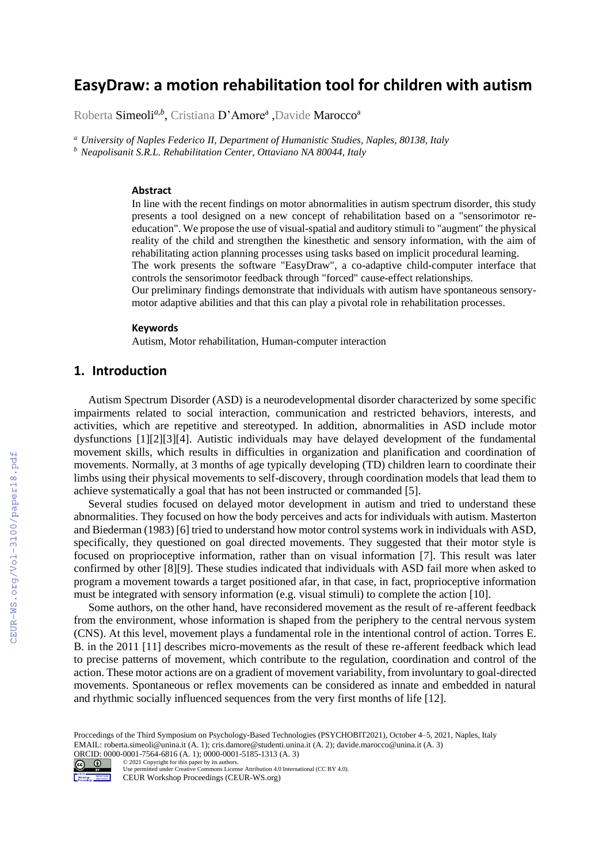# **EasyDraw: a motion rehabilitation tool for children with autism**

Roberta Simeoli<sup>a,b</sup>, Cristiana D'Amore<sup>a</sup> ,Davide Marocco<sup>a</sup>

*<sup>a</sup> University of Naples Federico II, Department of Humanistic Studies, Naples, 80138, Italy <sup>b</sup> Neapolisanit S.R.L. Rehabilitation Center, Ottaviano NA 80044, Italy* 

#### **Abstract**

In line with the recent findings on motor abnormalities in autism spectrum disorder, this study presents a tool designed on a new concept of rehabilitation based on a "sensorimotor reeducation". We propose the use of visual-spatial and auditory stimuli to "augment" the physical reality of the child and strengthen the kinesthetic and sensory information, with the aim of rehabilitating action planning processes using tasks based on implicit procedural learning. The work presents the software "EasyDraw", a co-adaptive child-computer interface that controls the sensorimotor feedback through "forced" cause-effect relationships.

Our preliminary findings demonstrate that individuals with autism have spontaneous sensorymotor adaptive abilities and that this can play a pivotal role in rehabilitation processes.

#### **Keywords**

Autism, Motor rehabilitation, Human-computer interaction

### **1. Introduction**

Autism Spectrum Disorder (ASD) is a neurodevelopmental disorder characterized by some specific impairments related to social interaction, communication and restricted behaviors, interests, and activities, which are repetitive and stereotyped. In addition, abnormalities in ASD include motor dysfunctions [1][2][3][4]. Autistic individuals may have delayed development of the fundamental movement skills, which results in difficulties in organization and planification and coordination of movements. Normally, at 3 months of age typically developing (TD) children learn to coordinate their limbs using their physical movements to self-discovery, through coordination models that lead them to achieve systematically a goal that has not been instructed or commanded [5].

Several studies focused on delayed motor development in autism and tried to understand these abnormalities. They focused on how the body perceives and acts for individuals with autism. Masterton and Biederman (1983) [6] tried to understand how motor control systems work in individuals with ASD, specifically, they questioned on goal directed movements. They suggested that their motor style is focused on proprioceptive information, rather than on visual information [7]. This result was later confirmed by other [8][9]. These studies indicated that individuals with ASD fail more when asked to program a movement towards a target positioned afar, in that case, in fact, proprioceptive information must be integrated with sensory information (e.g. visual stimuli) to complete the action [10].

Some authors, on the other hand, have reconsidered movement as the result of re-afferent feedback from the environment, whose information is shaped from the periphery to the central nervous system (CNS). At this level, movement plays a fundamental role in the intentional control of action. Torres E. B. in the 2011 [11] describes micro-movements as the result of these re-afferent feedback which lead to precise patterns of movement, which contribute to the regulation, coordination and control of the action. These motor actions are on a gradient of movement variability, from involuntary to goal-directed movements. Spontaneous or reflex movements can be considered as innate and embedded in natural and rhythmic socially influenced sequences from the very first months of life [12].

Proccedings of the Third Symposium on Psychology-Based Technologies (PSYCHOBIT2021), October 4–5, 2021, Naples, Italy EMAIL: roberta.simeoli@unina.it (A. 1); cris.damore@studenti.unina.it (A. 2); davide.marocco@unina.it (A. 3)

ORCID: 0000-0001-7564-6816 (A. 1); 0000-0001-5185-1313 (A. 3)<br>  $\odot$  0 2021 Copyright for this paper by its authors.<br>
Use permitted under Creative Commons License Attribution 4.0 Interna



©️ 2021 Copyright for this paper by its authors. Use permitted under Creative Commons License Attribution 4.0 International (CC BY 4.0).

CEUR Workshop Proceedings (CEUR-WS.org)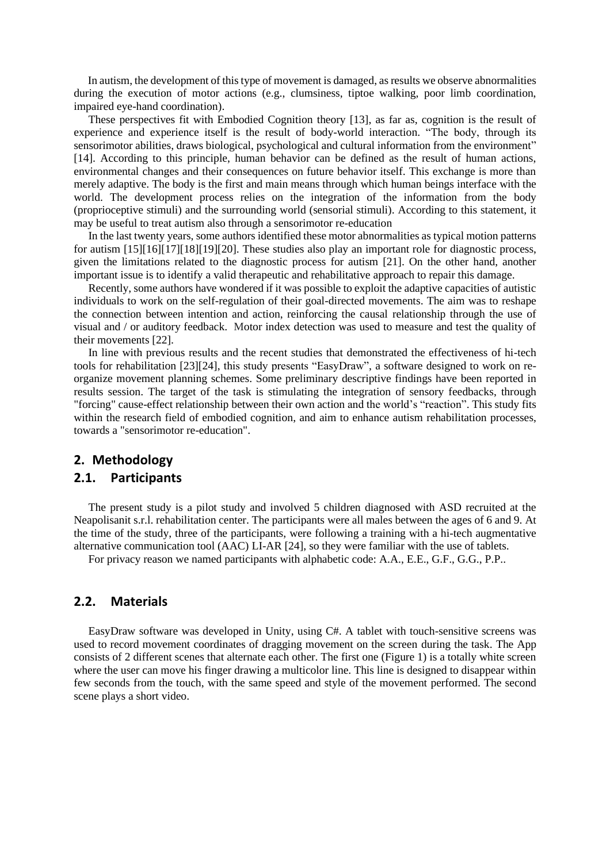In autism, the development of this type of movement is damaged, as results we observe abnormalities during the execution of motor actions (e.g., clumsiness, tiptoe walking, poor limb coordination, impaired eye-hand coordination).

These perspectives fit with Embodied Cognition theory [13], as far as, cognition is the result of experience and experience itself is the result of body-world interaction. "The body, through its sensorimotor abilities, draws biological, psychological and cultural information from the environment" [14]. According to this principle, human behavior can be defined as the result of human actions, environmental changes and their consequences on future behavior itself. This exchange is more than merely adaptive. The body is the first and main means through which human beings interface with the world. The development process relies on the integration of the information from the body (proprioceptive stimuli) and the surrounding world (sensorial stimuli). According to this statement, it may be useful to treat autism also through a sensorimotor re-education

In the last twenty years, some authors identified these motor abnormalities as typical motion patterns for autism [15][16][17][18][19][20]. These studies also play an important role for diagnostic process, given the limitations related to the diagnostic process for autism [21]. On the other hand, another important issue is to identify a valid therapeutic and rehabilitative approach to repair this damage.

Recently, some authors have wondered if it was possible to exploit the adaptive capacities of autistic individuals to work on the self-regulation of their goal-directed movements. The aim was to reshape the connection between intention and action, reinforcing the causal relationship through the use of visual and / or auditory feedback. Motor index detection was used to measure and test the quality of their movements [22].

In line with previous results and the recent studies that demonstrated the effectiveness of hi-tech tools for rehabilitation [23][24], this study presents "EasyDraw", a software designed to work on reorganize movement planning schemes. Some preliminary descriptive findings have been reported in results session. The target of the task is stimulating the integration of sensory feedbacks, through "forcing" cause-effect relationship between their own action and the world's "reaction". This study fits within the research field of embodied cognition, and aim to enhance autism rehabilitation processes, towards a "sensorimotor re-education".

#### **2. Methodology**

# **2.1. Participants**

The present study is a pilot study and involved 5 children diagnosed with ASD recruited at the Neapolisanit s.r.l. rehabilitation center. The participants were all males between the ages of 6 and 9. At the time of the study, three of the participants, were following a training with a hi-tech augmentative alternative communication tool (AAC) LI-AR [24], so they were familiar with the use of tablets.

For privacy reason we named participants with alphabetic code: A.A., E.E., G.F., G.G., P.P..

#### **2.2. Materials**

EasyDraw software was developed in Unity, using C#. A tablet with touch-sensitive screens was used to record movement coordinates of dragging movement on the screen during the task. The App consists of 2 different scenes that alternate each other. The first one (Figure 1) is a totally white screen where the user can move his finger drawing a multicolor line. This line is designed to disappear within few seconds from the touch, with the same speed and style of the movement performed. The second scene plays a short video.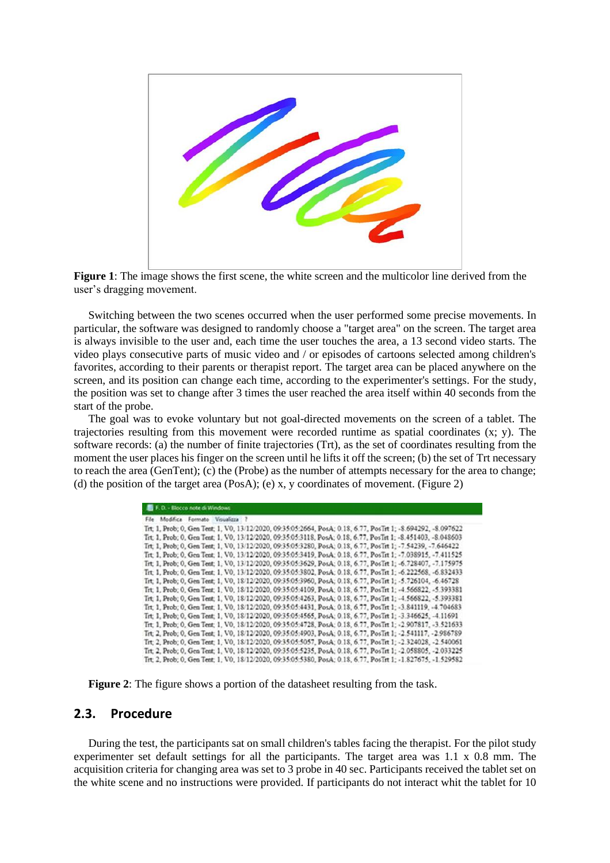



Switching between the two scenes occurred when the user performed some precise movements. In particular, the software was designed to randomly choose a "target area" on the screen. The target area is always invisible to the user and, each time the user touches the area, a 13 second video starts. The video plays consecutive parts of music video and / or episodes of cartoons selected among children's favorites, according to their parents or therapist report. The target area can be placed anywhere on the screen, and its position can change each time, according to the experimenter's settings. For the study, the position was set to change after 3 times the user reached the area itself within 40 seconds from the start of the probe.

The goal was to evoke voluntary but not goal-directed movements on the screen of a tablet. The trajectories resulting from this movement were recorded runtime as spatial coordinates  $(x, y)$ . The software records: (a) the number of finite trajectories (Trt), as the set of coordinates resulting from the moment the user places his finger on the screen until he lifts it off the screen; (b) the set of Trt necessary to reach the area (GenTent); (c) the (Probe) as the number of attempts necessary for the area to change; (d) the position of the target area (PosA); (e) x, y coordinates of movement. (Figure 2)

| F. D. - Blocco note di Windows                                                                                |
|---------------------------------------------------------------------------------------------------------------|
| File Modifica Formato Visualizza ?                                                                            |
| Trt; 1, Prob; 0, Gen Tent; 1, V0, 13/12/2020, 09:35:05:2664, PosA; 0.18, 6.77, PosTrt 1; -8.694292, -8.097622 |
| Trt. 1, Prob. 0, Gen Tent. 1, V0, 13/12/2020, 09:35:05:3118, PosA: 0.18, 6.77, PosTrt 1: -8.451403, -8.048603 |
| Trt. 1, Prob; 0, Gen Tent; 1, V0, 13/12/2020, 09:35:05:3280, PosA; 0.18, 6.77, PosTrt 1; -7.54239, -7.646422  |
| Trt: 1, Prob: 0, Gen Tent: 1, V0, 13/12/2020, 09:35:05:3419, PosA: 0.18, 6.77, PosTrt 1: -7.038915, -7.411525 |
| Trt. 1. Prob: 0. Gen Tent: 1. V0. 13/12/2020. 09:35:05:3629. PosA: 0.18. 6.77. PosTrt 1: -6.728407. -7.175975 |
| Trt. 1, Prob. 0, Gen Tent. 1, V0, 13/12/2020, 09:35:05:3802, PosA: 0.18, 6.77, PosTrt 1: -6.222568, -6.832433 |
| Trt. 1, Prob. 0, Gen Tent. 1, V0, 18/12/2020, 09:35:05:3960, PosA; 0.18, 6.77, PosTrt 1; -5.726104, -6.46728  |
| Trt. 1. Prob: 0. Gen Tent: 1. V0. 18/12/2020. 09:35:05:4109. PosA: 0.18. 6.77. PosTrt 1: -4.566822. -5.393381 |
| Trt. 1, Prob; 0, Gen Tent; 1, V0, 18/12/2020, 09:35:05:4263, PosA; 0.18, 6.77, PosTrt 1; -4.566822, -5.393381 |
| Trt. 1, Prob; 0, Gen Tent; 1, V0, 18/12/2020, 09:35:05:4431, PosA; 0.18, 6.77, PosTrt 1; -3.841119, -4.704683 |
| Trt: 1, Prob: 0, Gen Tent: 1, V0, 18/12/2020, 09:35:05:4565, PosA: 0.18, 6.77, PosTrt 1: -3.346625, -4.11691  |
| Trt. 1, Prob. 0, Gen Tent. 1, V0, 18/12/2020, 09:35:05:4728, PosA: 0.18, 6.77, PosTrt 1: -2.907817, -3.521633 |
| Trt. 2, Prob. 0, Gen Tent. 1, V0, 18/12/2020, 09:35:05:4903, PosA: 0.18, 6.77, PosTrt 1: -2.541117, -2.986789 |
| Trt: 2, Prob: 0, Gen Tent: 1, V0, 18/12/2020, 09:35:05:5057, PosA: 0.18, 6.77, PosTrt 1: -2.324028, -2.540061 |
| Trt. 2, Prob; 0, Gen Tent; 1, V0, 18/12/2020, 09:35:05:5235, PosA; 0.18, 6.77, PosTrt 1; -2.058805, -2.033225 |
| Trt. 2. Prob. 0. Gen Tent. 1. V0. 18/12/2020. 09:35:05:5380. PosA: 0.18. 6.77. PosTrt 1: -1.827675. -1.529582 |

**Figure 2**: The figure shows a portion of the datasheet resulting from the task.

# **2.3. Procedure**

During the test, the participants sat on small children's tables facing the therapist. For the pilot study experimenter set default settings for all the participants. The target area was 1.1 x 0.8 mm. The acquisition criteria for changing area was set to 3 probe in 40 sec. Participants received the tablet set on the white scene and no instructions were provided. If participants do not interact whit the tablet for 10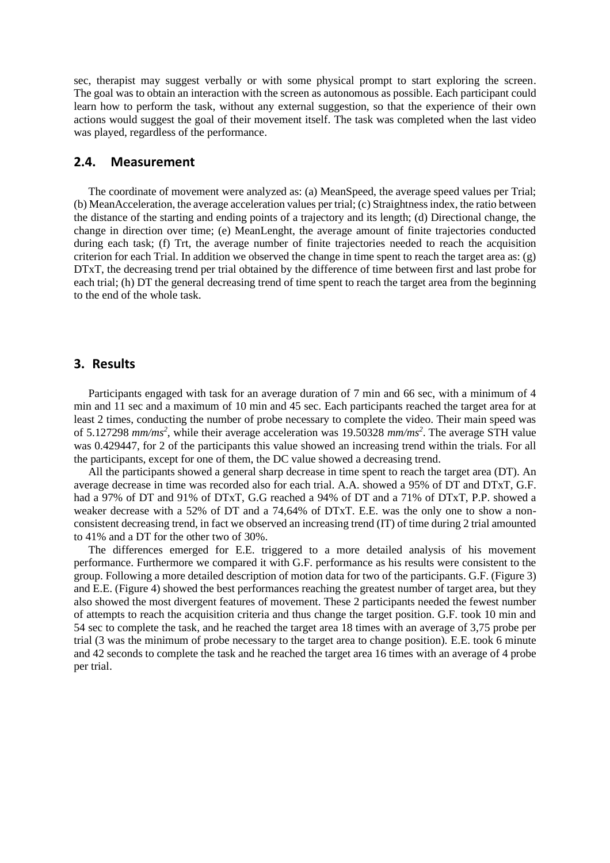sec, therapist may suggest verbally or with some physical prompt to start exploring the screen. The goal was to obtain an interaction with the screen as autonomous as possible. Each participant could learn how to perform the task, without any external suggestion, so that the experience of their own actions would suggest the goal of their movement itself. The task was completed when the last video was played, regardless of the performance.

### **2.4. Measurement**

The coordinate of movement were analyzed as: (a) MeanSpeed, the average speed values per Trial; (b) MeanAcceleration, the average acceleration values per trial; (c) Straightness index, the ratio between the distance of the starting and ending points of a trajectory and its length; (d) Directional change, the change in direction over time; (e) MeanLenght, the average amount of finite trajectories conducted during each task; (f) Trt, the average number of finite trajectories needed to reach the acquisition criterion for each Trial. In addition we observed the change in time spent to reach the target area as: (g) DTxT, the decreasing trend per trial obtained by the difference of time between first and last probe for each trial; (h) DT the general decreasing trend of time spent to reach the target area from the beginning to the end of the whole task.

## **3. Results**

Participants engaged with task for an average duration of 7 min and 66 sec, with a minimum of 4 min and 11 sec and a maximum of 10 min and 45 sec. Each participants reached the target area for at least 2 times, conducting the number of probe necessary to complete the video. Their main speed was of 5.127298 *mm/ms<sup>2</sup>* , while their average acceleration was 19.50328 *mm/ms<sup>2</sup>* . The average STH value was 0.429447, for 2 of the participants this value showed an increasing trend within the trials. For all the participants, except for one of them, the DC value showed a decreasing trend.

All the participants showed a general sharp decrease in time spent to reach the target area (DT). An average decrease in time was recorded also for each trial. A.A. showed a 95% of DT and DTxT, G.F. had a 97% of DT and 91% of DTxT, G.G reached a 94% of DT and a 71% of DTxT, P.P. showed a weaker decrease with a 52% of DT and a 74,64% of DTxT. E.E. was the only one to show a nonconsistent decreasing trend, in fact we observed an increasing trend (IT) of time during 2 trial amounted to 41% and a DT for the other two of 30%.

The differences emerged for E.E. triggered to a more detailed analysis of his movement performance. Furthermore we compared it with G.F. performance as his results were consistent to the group. Following a more detailed description of motion data for two of the participants. G.F. (Figure 3) and E.E. (Figure 4) showed the best performances reaching the greatest number of target area, but they also showed the most divergent features of movement. These 2 participants needed the fewest number of attempts to reach the acquisition criteria and thus change the target position. G.F. took 10 min and 54 sec to complete the task, and he reached the target area 18 times with an average of 3,75 probe per trial (3 was the minimum of probe necessary to the target area to change position). E.E. took 6 minute and 42 seconds to complete the task and he reached the target area 16 times with an average of 4 probe per trial.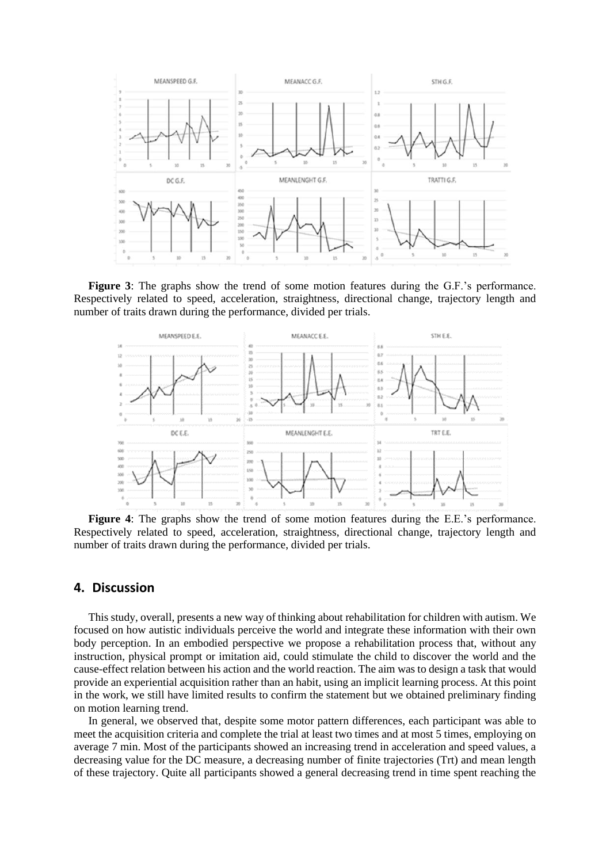

**Figure 3**: The graphs show the trend of some motion features during the G.F.'s performance. Respectively related to speed, acceleration, straightness, directional change, trajectory length and number of traits drawn during the performance, divided per trials.



**Figure 4**: The graphs show the trend of some motion features during the E.E.'s performance. Respectively related to speed, acceleration, straightness, directional change, trajectory length and number of traits drawn during the performance, divided per trials.

#### **4. Discussion**

This study, overall, presents a new way of thinking about rehabilitation for children with autism. We focused on how autistic individuals perceive the world and integrate these information with their own body perception. In an embodied perspective we propose a rehabilitation process that, without any instruction, physical prompt or imitation aid, could stimulate the child to discover the world and the cause-effect relation between his action and the world reaction. The aim was to design a task that would provide an experiential acquisition rather than an habit, using an implicit learning process. At this point in the work, we still have limited results to confirm the statement but we obtained preliminary finding on motion learning trend.

In general, we observed that, despite some motor pattern differences, each participant was able to meet the acquisition criteria and complete the trial at least two times and at most 5 times, employing on average 7 min. Most of the participants showed an increasing trend in acceleration and speed values, a decreasing value for the DC measure, a decreasing number of finite trajectories (Trt) and mean length of these trajectory. Quite all participants showed a general decreasing trend in time spent reaching the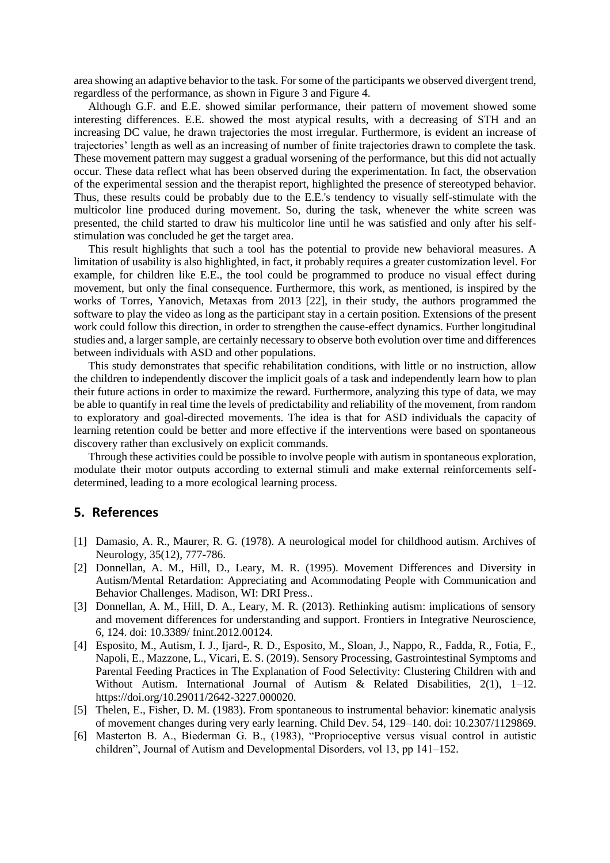area showing an adaptive behavior to the task. For some of the participants we observed divergent trend, regardless of the performance, as shown in Figure 3 and Figure 4.

Although G.F. and E.E. showed similar performance, their pattern of movement showed some interesting differences. E.E. showed the most atypical results, with a decreasing of STH and an increasing DC value, he drawn trajectories the most irregular. Furthermore, is evident an increase of trajectories' length as well as an increasing of number of finite trajectories drawn to complete the task. These movement pattern may suggest a gradual worsening of the performance, but this did not actually occur. These data reflect what has been observed during the experimentation. In fact, the observation of the experimental session and the therapist report, highlighted the presence of stereotyped behavior. Thus, these results could be probably due to the E.E.'s tendency to visually self-stimulate with the multicolor line produced during movement. So, during the task, whenever the white screen was presented, the child started to draw his multicolor line until he was satisfied and only after his selfstimulation was concluded he get the target area.

This result highlights that such a tool has the potential to provide new behavioral measures. A limitation of usability is also highlighted, in fact, it probably requires a greater customization level. For example, for children like E.E., the tool could be programmed to produce no visual effect during movement, but only the final consequence. Furthermore, this work, as mentioned, is inspired by the works of Torres, Yanovich, Metaxas from 2013 [22], in their study, the authors programmed the software to play the video as long as the participant stay in a certain position. Extensions of the present work could follow this direction, in order to strengthen the cause-effect dynamics. Further longitudinal studies and, a larger sample, are certainly necessary to observe both evolution over time and differences between individuals with ASD and other populations.

This study demonstrates that specific rehabilitation conditions, with little or no instruction, allow the children to independently discover the implicit goals of a task and independently learn how to plan their future actions in order to maximize the reward. Furthermore, analyzing this type of data, we may be able to quantify in real time the levels of predictability and reliability of the movement, from random to exploratory and goal-directed movements. The idea is that for ASD individuals the capacity of learning retention could be better and more effective if the interventions were based on spontaneous discovery rather than exclusively on explicit commands.

Through these activities could be possible to involve people with autism in spontaneous exploration, modulate their motor outputs according to external stimuli and make external reinforcements selfdetermined, leading to a more ecological learning process.

### **5. References**

- [1] Damasio, A. R., Maurer, R. G. (1978). A neurological model for childhood autism. Archives of Neurology, 35(12), 777-786.
- [2] Donnellan, A. M., Hill, D., Leary, M. R. (1995). Movement Differences and Diversity in Autism/Mental Retardation: Appreciating and Acommodating People with Communication and Behavior Challenges. Madison, WI: DRI Press..
- [3] Donnellan, A. M., Hill, D. A., Leary, M. R. (2013). Rethinking autism: implications of sensory and movement differences for understanding and support. Frontiers in Integrative Neuroscience, 6, 124. doi: 10.3389/ fnint.2012.00124.
- [4] Esposito, M., Autism, I. J., Ijard-, R. D., Esposito, M., Sloan, J., Nappo, R., Fadda, R., Fotia, F., Napoli, E., Mazzone, L., Vicari, E. S. (2019). Sensory Processing, Gastrointestinal Symptoms and Parental Feeding Practices in The Explanation of Food Selectivity: Clustering Children with and Without Autism. International Journal of Autism & Related Disabilities,  $2(1)$ ,  $1-12$ . https://doi.org/10.29011/2642-3227.000020.
- [5] Thelen, E., Fisher, D. M. (1983). From spontaneous to instrumental behavior: kinematic analysis of movement changes during very early learning. Child Dev. 54, 129–140. doi: 10.2307/1129869.
- [6] Masterton B. A., Biederman G. B., (1983), "Proprioceptive versus visual control in autistic children", Journal of Autism and Developmental Disorders, vol 13, pp 141–152.